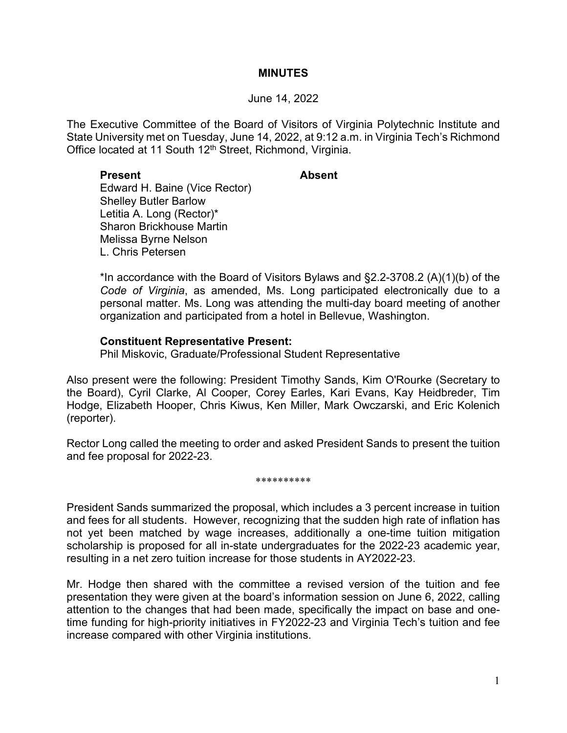### **MINUTES**

#### June 14, 2022

The Executive Committee of the Board of Visitors of Virginia Polytechnic Institute and State University met on Tuesday, June 14, 2022, at 9:12 a.m. in Virginia Tech's Richmond Office located at 11 South 12<sup>th</sup> Street, Richmond, Virginia.

### **Present Absent**

Edward H. Baine (Vice Rector) Shelley Butler Barlow Letitia A. Long (Rector)\* Sharon Brickhouse Martin Melissa Byrne Nelson L. Chris Petersen

\*In accordance with the Board of Visitors Bylaws and §2.2-3708.2 (A)(1)(b) of the *Code of Virginia*, as amended, Ms. Long participated electronically due to a personal matter. Ms. Long was attending the multi-day board meeting of another organization and participated from a hotel in Bellevue, Washington.

## **Constituent Representative Present:**

Phil Miskovic, Graduate/Professional Student Representative

Also present were the following: President Timothy Sands, Kim O'Rourke (Secretary to the Board), Cyril Clarke, Al Cooper, Corey Earles, Kari Evans, Kay Heidbreder, Tim Hodge, Elizabeth Hooper, Chris Kiwus, Ken Miller, Mark Owczarski, and Eric Kolenich (reporter).

Rector Long called the meeting to order and asked President Sands to present the tuition and fee proposal for 2022-23.

#### \*\*\*\*\*\*\*\*\*\*

President Sands summarized the proposal, which includes a 3 percent increase in tuition and fees for all students. However, recognizing that the sudden high rate of inflation has not yet been matched by wage increases, additionally a one-time tuition mitigation scholarship is proposed for all in-state undergraduates for the 2022-23 academic year, resulting in a net zero tuition increase for those students in AY2022-23.

Mr. Hodge then shared with the committee a revised version of the tuition and fee presentation they were given at the board's information session on June 6, 2022, calling attention to the changes that had been made, specifically the impact on base and onetime funding for high-priority initiatives in FY2022-23 and Virginia Tech's tuition and fee increase compared with other Virginia institutions.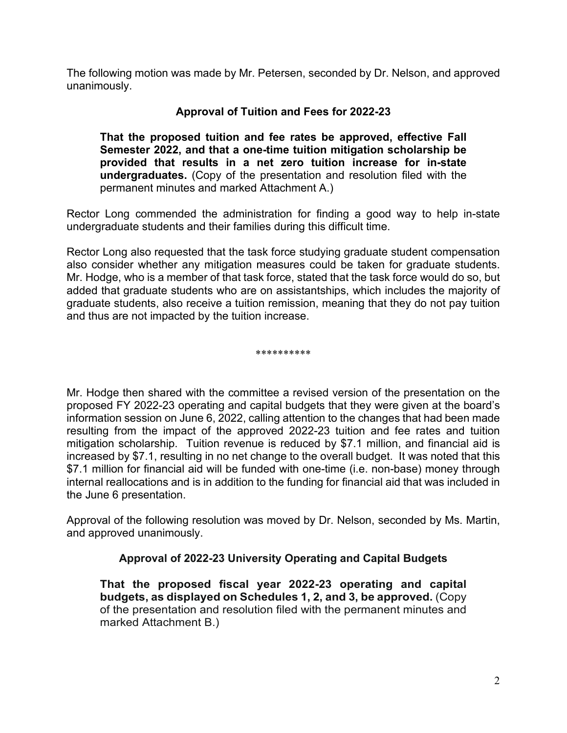The following motion was made by Mr. Petersen, seconded by Dr. Nelson, and approved unanimously.

# **Approval of Tuition and Fees for 2022-23**

**That the proposed tuition and fee rates be approved, effective Fall Semester 2022, and that a one-time tuition mitigation scholarship be provided that results in a net zero tuition increase for in-state undergraduates.** (Copy of the presentation and resolution filed with the permanent minutes and marked Attachment A.)

Rector Long commended the administration for finding a good way to help in-state undergraduate students and their families during this difficult time.

Rector Long also requested that the task force studying graduate student compensation also consider whether any mitigation measures could be taken for graduate students. Mr. Hodge, who is a member of that task force, stated that the task force would do so, but added that graduate students who are on assistantships, which includes the majority of graduate students, also receive a tuition remission, meaning that they do not pay tuition and thus are not impacted by the tuition increase.

\*\*\*\*\*\*\*\*\*\*

Mr. Hodge then shared with the committee a revised version of the presentation on the proposed FY 2022-23 operating and capital budgets that they were given at the board's information session on June 6, 2022, calling attention to the changes that had been made resulting from the impact of the approved 2022-23 tuition and fee rates and tuition mitigation scholarship. Tuition revenue is reduced by \$7.1 million, and financial aid is increased by \$7.1, resulting in no net change to the overall budget. It was noted that this \$7.1 million for financial aid will be funded with one-time (i.e. non-base) money through internal reallocations and is in addition to the funding for financial aid that was included in the June 6 presentation.

Approval of the following resolution was moved by Dr. Nelson, seconded by Ms. Martin, and approved unanimously.

# **Approval of 2022-23 University Operating and Capital Budgets**

**That the proposed fiscal year 2022-23 operating and capital budgets, as displayed on Schedules 1, 2, and 3, be approved.** (Copy of the presentation and resolution filed with the permanent minutes and marked Attachment B.)